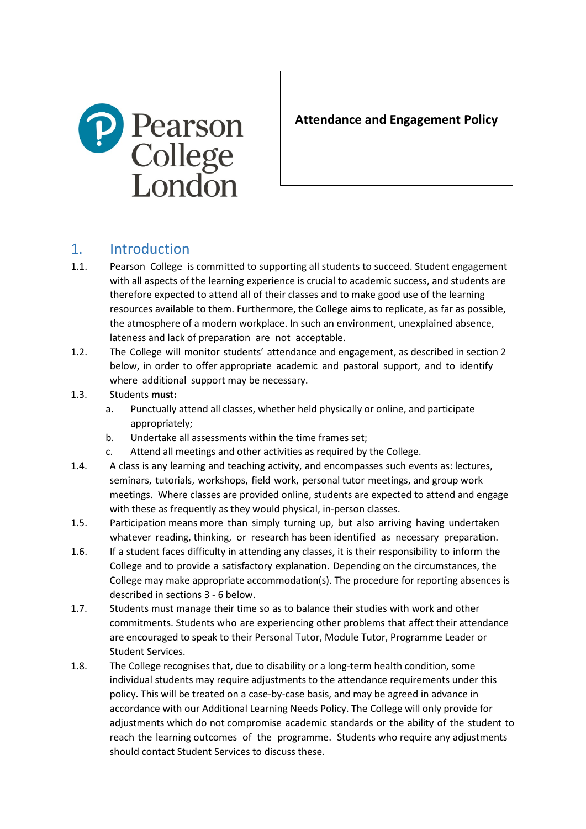

**Attendance and Engagement Policy**

# 1. Introduction

- 1.1. Pearson College is committed to supporting all students to succeed. Student engagement with all aspects of the learning experience is crucial to academic success, and students are therefore expected to attend all of their classes and to make good use of the learning resources available to them. Furthermore, the College aims to replicate, as far as possible, the atmosphere of a modern workplace. In such an environment, unexplained absence, lateness and lack of preparation are not acceptable.
- 1.2. The College will monitor students' attendance and engagement, as described in section [2](#page-1-0) below, in order to offer appropriate academic and pastoral support, and to identify where additional support may be necessary.
- 1.3. Students **must:**
	- a. Punctually attend all classes, whether held physically or online, and participate appropriately;
	- b. Undertake all assessments within the time frames set;
	- c. Attend all meetings and other activities as required by the College.
- 1.4. A class is any learning and teaching activity, and encompasses such events as: lectures, seminars, tutorials, workshops, field work, personal tutor meetings, and group work meetings. Where classes are provided online, students are expected to attend and engage with these as frequently as they would physical, in-person classes.
- 1.5. Participation means more than simply turning up, but also arriving having undertaken whatever reading, thinking, or research has been identified as necessary preparation.
- 1.6. If a student faces difficulty in attending any classes, it is their responsibility to inform the College and to provide a satisfactory explanation. Depending on the circumstances, the College may make appropriate accommodation(s). The procedure for reporting absences is described in section[s 3](#page-1-1) - [6](#page-2-0) below.
- 1.7. Students must manage their time so as to balance their studies with work and other commitments. Students who are experiencing other problems that affect their attendance are encouraged to speak to their Personal Tutor, Module Tutor, Programme Leader or Student Services.
- 1.8. The College recognises that, due to disability or a long-term health condition, some individual students may require adjustments to the attendance requirements under this policy. This will be treated on a case-by-case basis, and may be agreed in advance in accordance with our Additional Learning Needs Policy. The College will only provide for adjustments which do not compromise academic standards or the ability of the student to reach the learning outcomes of the programme. Students who require any adjustments should contact Student Services to discuss these.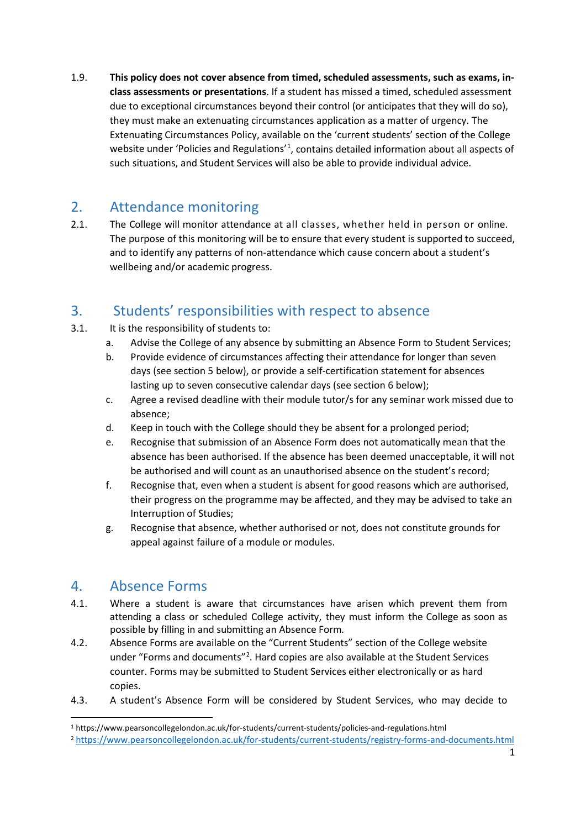1.9. **This policy does not cover absence from timed, scheduled assessments, such as exams, inclass assessments or presentations**. If a student has missed a timed, scheduled assessment due to exceptional circumstances beyond their control (or anticipates that they will do so), they must make an extenuating circumstances application as a matter of urgency. The Extenuating Circumstances Policy, available on the 'current students' section of the College website under 'Policies and Regulations'<sup>[1](#page-1-2)</sup>, contains detailed information about all aspects of such situations, and Student Services will also be able to provide individual advice.

#### <span id="page-1-0"></span>2. Attendance monitoring

2.1. The College will monitor attendance at all classes, whether held in person or online. The purpose of this monitoring will be to ensure that every student is supported to succeed, and to identify any patterns of non-attendance which cause concern about a student's wellbeing and/or academic progress.

# <span id="page-1-1"></span>3. Students' responsibilities with respect to absence

- 3.1. It is the responsibility of students to:
	- a. Advise the College of any absence by submitting an Absence Form to Student Services;
	- b. Provide evidence of circumstances affecting their attendance for longer than seven days (see section [5](#page-2-1) below), or provide a self-certification statement for absences lasting up to seven consecutive calendar days (see section [6](#page-2-0) below);
	- c. Agree a revised deadline with their module tutor/s for any seminar work missed due to absence;
	- d. Keep in touch with the College should they be absent for a prolonged period;
	- e. Recognise that submission of an Absence Form does not automatically mean that the absence has been authorised. If the absence has been deemed unacceptable, it will not be authorised and will count as an unauthorised absence on the student's record;
	- f. Recognise that, even when a student is absent for good reasons which are authorised, their progress on the programme may be affected, and they may be advised to take an Interruption of Studies;
	- g. Recognise that absence, whether authorised or not, does not constitute grounds for appeal against failure of a module or modules.

#### 4. Absence Forms

- 4.1. Where a student is aware that circumstances have arisen which prevent them from attending a class or scheduled College activity, they must inform the College as soon as possible by filling in and submitting an Absence Form*.*
- 4.2. Absence Forms are available on the "Current Students" section of the College website under "Forms and documents"<sup>[2](#page-1-3)</sup>. Hard copies are also available at the Student Services counter. Forms may be submitted to Student Services either electronically or as hard copies.
- 4.3. A student's Absence Form will be considered by Student Services, who may decide to

<span id="page-1-2"></span><sup>1</sup> https://www.pearsoncollegelondon.ac.uk/for-students/current-students/policies-and-regulations.html

<span id="page-1-3"></span><sup>2</sup> <https://www.pearsoncollegelondon.ac.uk/for-students/current-students/registry-forms-and-documents.html>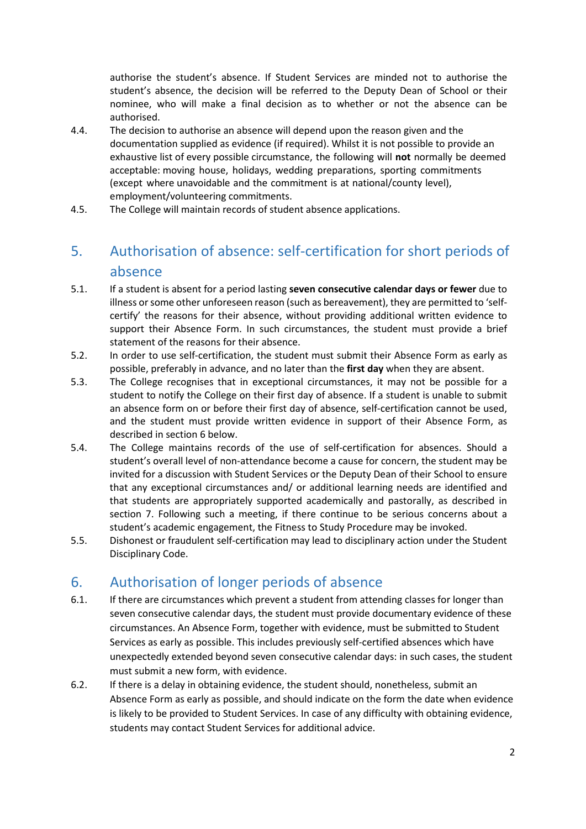authorise the student's absence. If Student Services are minded not to authorise the student's absence, the decision will be referred to the Deputy Dean of School or their nominee, who will make a final decision as to whether or not the absence can be authorised.

- 4.4. The decision to authorise an absence will depend upon the reason given and the documentation supplied as evidence (if required). Whilst it is not possible to provide an exhaustive list of every possible circumstance, the following will **not** normally be deemed acceptable: moving house, holidays, wedding preparations, sporting commitments (except where unavoidable and the commitment is at national/county level), employment/volunteering commitments.
- 4.5. The College will maintain records of student absence applications.

# <span id="page-2-1"></span>5. Authorisation of absence: self-certification for short periods of absence

- 5.1. If a student is absent for a period lasting **seven consecutive calendar days or fewer** due to illness or some other unforeseen reason (such as bereavement), they are permitted to 'selfcertify' the reasons for their absence, without providing additional written evidence to support their Absence Form. In such circumstances, the student must provide a brief statement of the reasons for their absence.
- 5.2. In order to use self-certification, the student must submit their Absence Form as early as possible, preferably in advance, and no later than the **first day** when they are absent.
- 5.3. The College recognises that in exceptional circumstances, it may not be possible for a student to notify the College on their first day of absence. If a student is unable to submit an absence form on or before their first day of absence, self-certification cannot be used, and the student must provide written evidence in support of their Absence Form, as described in section [6](#page-2-0) below.
- 5.4. The College maintains records of the use of self-certification for absences. Should a student's overall level of non-attendance become a cause for concern, the student may be invited for a discussion with Student Services or the Deputy Dean of their School to ensure that any exceptional circumstances and/ or additional learning needs are identified and that students are appropriately supported academically and pastorally, as described in section [7.](#page-4-0) Following such a meeting, if there continue to be serious concerns about a student's academic engagement, the Fitness to Study Procedure may be invoked.
- 5.5. Dishonest or fraudulent self-certification may lead to disciplinary action under the Student Disciplinary Code.

### <span id="page-2-0"></span>6. Authorisation of longer periods of absence

- 6.1. If there are circumstances which prevent a student from attending classes for longer than seven consecutive calendar days, the student must provide documentary evidence of these circumstances. An Absence Form, together with evidence, must be submitted to Student Services as early as possible. This includes previously self-certified absences which have unexpectedly extended beyond seven consecutive calendar days: in such cases, the student must submit a new form, with evidence.
- 6.2. If there is a delay in obtaining evidence, the student should, nonetheless, submit an Absence Form as early as possible, and should indicate on the form the date when evidence is likely to be provided to Student Services. In case of any difficulty with obtaining evidence, students may contact Student Services for additional advice.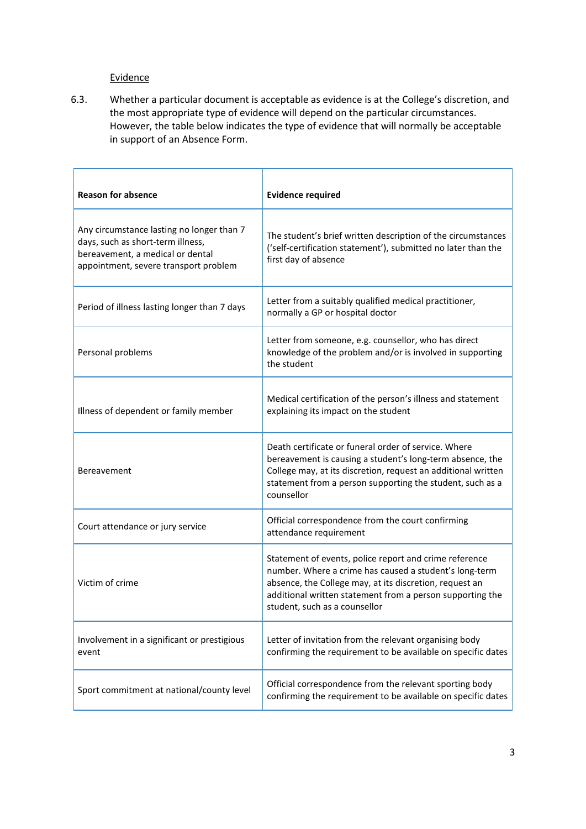#### **Evidence**

6.3. Whether a particular document is acceptable as evidence is at the College's discretion, and the most appropriate type of evidence will depend on the particular circumstances. However, the table below indicates the type of evidence that will normally be acceptable in support of an Absence Form.

| <b>Reason for absence</b>                                                                                                                                   | <b>Evidence required</b>                                                                                                                                                                                                                                                  |
|-------------------------------------------------------------------------------------------------------------------------------------------------------------|---------------------------------------------------------------------------------------------------------------------------------------------------------------------------------------------------------------------------------------------------------------------------|
| Any circumstance lasting no longer than 7<br>days, such as short-term illness,<br>bereavement, a medical or dental<br>appointment, severe transport problem | The student's brief written description of the circumstances<br>('self-certification statement'), submitted no later than the<br>first day of absence                                                                                                                     |
| Period of illness lasting longer than 7 days                                                                                                                | Letter from a suitably qualified medical practitioner,<br>normally a GP or hospital doctor                                                                                                                                                                                |
| Personal problems                                                                                                                                           | Letter from someone, e.g. counsellor, who has direct<br>knowledge of the problem and/or is involved in supporting<br>the student                                                                                                                                          |
| Illness of dependent or family member                                                                                                                       | Medical certification of the person's illness and statement<br>explaining its impact on the student                                                                                                                                                                       |
| Bereavement                                                                                                                                                 | Death certificate or funeral order of service. Where<br>bereavement is causing a student's long-term absence, the<br>College may, at its discretion, request an additional written<br>statement from a person supporting the student, such as a<br>counsellor             |
| Court attendance or jury service                                                                                                                            | Official correspondence from the court confirming<br>attendance requirement                                                                                                                                                                                               |
| Victim of crime                                                                                                                                             | Statement of events, police report and crime reference<br>number. Where a crime has caused a student's long-term<br>absence, the College may, at its discretion, request an<br>additional written statement from a person supporting the<br>student, such as a counsellor |
| Involvement in a significant or prestigious<br>event                                                                                                        | Letter of invitation from the relevant organising body<br>confirming the requirement to be available on specific dates                                                                                                                                                    |
| Sport commitment at national/county level                                                                                                                   | Official correspondence from the relevant sporting body<br>confirming the requirement to be available on specific dates                                                                                                                                                   |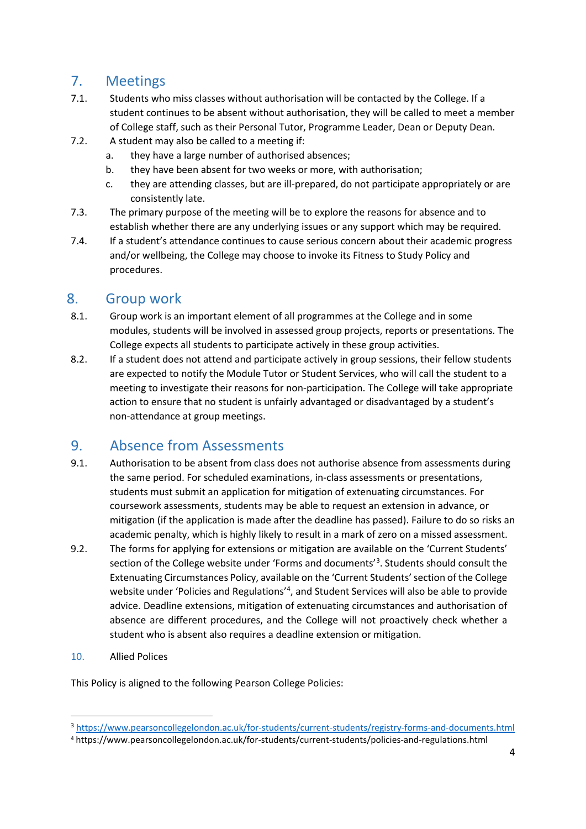# <span id="page-4-0"></span>7. Meetings

- 7.1. Students who miss classes without authorisation will be contacted by the College. If a student continues to be absent without authorisation, they will be called to meet a member of College staff, such as their Personal Tutor, Programme Leader, Dean or Deputy Dean.
- 7.2. A student may also be called to a meeting if:
	- a. they have a large number of authorised absences;
	- b. they have been absent for two weeks or more, with authorisation;
	- c. they are attending classes, but are ill-prepared, do not participate appropriately or are consistently late.
- 7.3. The primary purpose of the meeting will be to explore the reasons for absence and to establish whether there are any underlying issues or any support which may be required.
- 7.4. If a student's attendance continues to cause serious concern about their academic progress and/or wellbeing, the College may choose to invoke its Fitness to Study Policy and procedures.

#### 8. Group work

- 8.1. Group work is an important element of all programmes at the College and in some modules, students will be involved in assessed group projects, reports or presentations. The College expects all students to participate actively in these group activities.
- 8.2. If a student does not attend and participate actively in group sessions, their fellow students are expected to notify the Module Tutor or Student Services, who will call the student to a meeting to investigate their reasons for non-participation. The College will take appropriate action to ensure that no student is unfairly advantaged or disadvantaged by a student's non-attendance at group meetings.

#### 9. Absence from Assessments

- 9.1. Authorisation to be absent from class does not authorise absence from assessments during the same period. For scheduled examinations, in-class assessments or presentations, students must submit an application for mitigation of extenuating circumstances. For coursework assessments, students may be able to request an extension in advance, or mitigation (if the application is made after the deadline has passed). Failure to do so risks an academic penalty, which is highly likely to result in a mark of zero on a missed assessment.
- 9.2. The forms for applying for extensions or mitigation are available on the 'Current Students' section of the College website under 'Forms and documents'<sup>[3](#page-4-1)</sup>. Students should consult the Extenuating Circumstances Policy, available on the 'Current Students' section of the College website under 'Policies and Regulations'<sup>[4](#page-4-2)</sup>, and Student Services will also be able to provide advice. Deadline extensions, mitigation of extenuating circumstances and authorisation of absence are different procedures, and the College will not proactively check whether a student who is absent also requires a deadline extension or mitigation.
- 10. Allied Polices

This Policy is aligned to the following Pearson College Policies:

<span id="page-4-1"></span><sup>3</sup> <https://www.pearsoncollegelondon.ac.uk/for-students/current-students/registry-forms-and-documents.html>

<span id="page-4-2"></span><sup>4</sup> https://www.pearsoncollegelondon.ac.uk/for-students/current-students/policies-and-regulations.html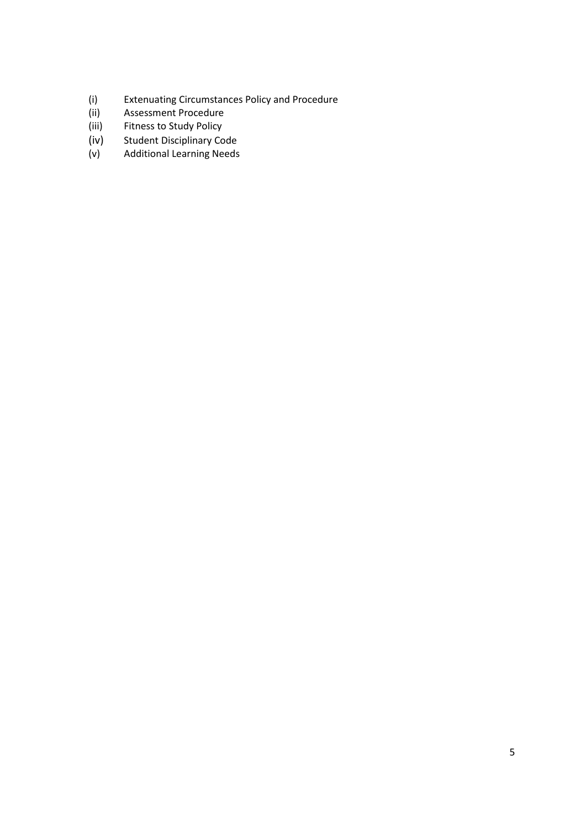- (i) Extenuating Circumstances Policy and Procedure
- (ii) Assessment Procedure<br>(iii) Fitness to Study Policy
- (iii) Fitness to Study Policy<br>(iv) Student Disciplinary Co
- 
- (iv) Student Disciplinary Code<br>(v) Additional Learning Needs Additional Learning Needs